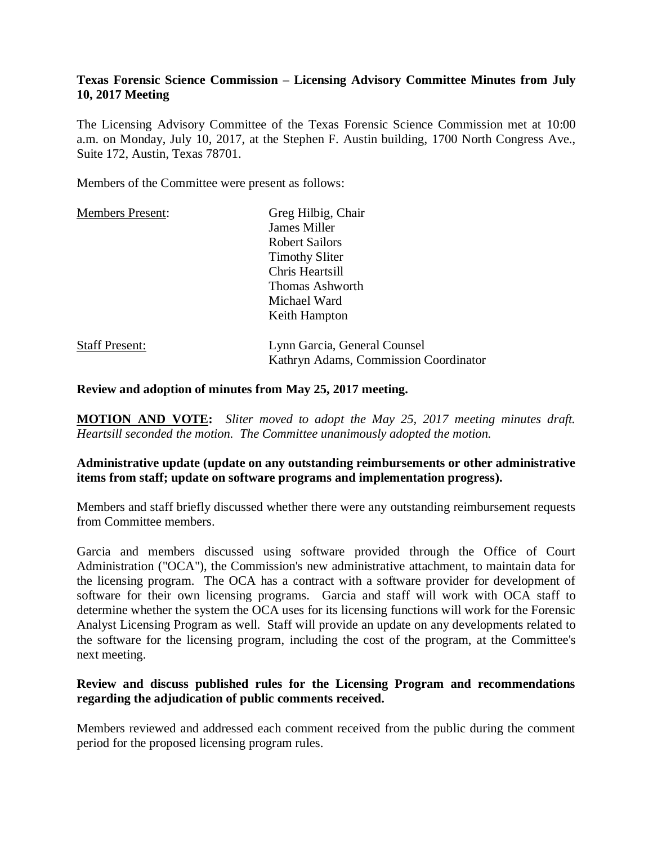## **Texas Forensic Science Commission – Licensing Advisory Committee Minutes from July 10, 2017 Meeting**

The Licensing Advisory Committee of the Texas Forensic Science Commission met at 10:00 a.m. on Monday, July 10, 2017, at the Stephen F. Austin building, 1700 North Congress Ave., Suite 172, Austin, Texas 78701.

Members of the Committee were present as follows:

| <b>Members Present:</b> | Greg Hilbig, Chair                    |
|-------------------------|---------------------------------------|
|                         | James Miller                          |
|                         | <b>Robert Sailors</b>                 |
|                         | <b>Timothy Sliter</b>                 |
|                         | Chris Heartsill                       |
|                         | <b>Thomas Ashworth</b>                |
|                         | Michael Ward                          |
|                         | Keith Hampton                         |
| <b>Staff Present:</b>   | Lynn Garcia, General Counsel          |
|                         | Kathryn Adams, Commission Coordinator |

#### **Review and adoption of minutes from May 25, 2017 meeting.**

**MOTION AND VOTE:** *Sliter moved to adopt the May 25, 2017 meeting minutes draft. Heartsill seconded the motion. The Committee unanimously adopted the motion.*

## **Administrative update (update on any outstanding reimbursements or other administrative items from staff; update on software programs and implementation progress).**

Members and staff briefly discussed whether there were any outstanding reimbursement requests from Committee members.

Garcia and members discussed using software provided through the Office of Court Administration ("OCA"), the Commission's new administrative attachment, to maintain data for the licensing program. The OCA has a contract with a software provider for development of software for their own licensing programs. Garcia and staff will work with OCA staff to determine whether the system the OCA uses for its licensing functions will work for the Forensic Analyst Licensing Program as well. Staff will provide an update on any developments related to the software for the licensing program, including the cost of the program, at the Committee's next meeting.

#### **Review and discuss published rules for the Licensing Program and recommendations regarding the adjudication of public comments received.**

Members reviewed and addressed each comment received from the public during the comment period for the proposed licensing program rules.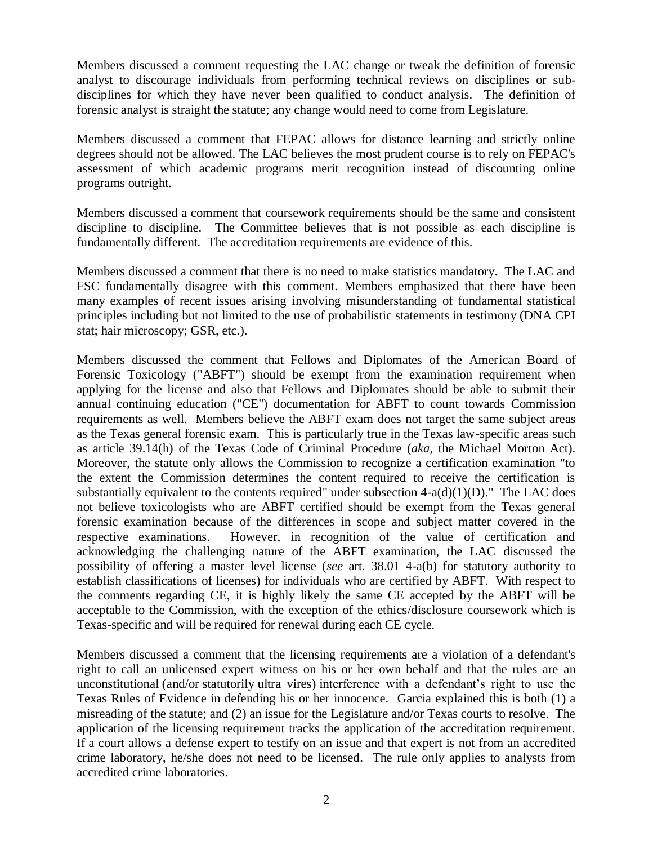Members discussed a comment requesting the LAC change or tweak the definition of forensic analyst to discourage individuals from performing technical reviews on disciplines or subdisciplines for which they have never been qualified to conduct analysis. The definition of forensic analyst is straight the statute; any change would need to come from Legislature.

Members discussed a comment that FEPAC allows for distance learning and strictly online degrees should not be allowed. The LAC believes the most prudent course is to rely on FEPAC's assessment of which academic programs merit recognition instead of discounting online programs outright.

Members discussed a comment that coursework requirements should be the same and consistent discipline to discipline. The Committee believes that is not possible as each discipline is fundamentally different. The accreditation requirements are evidence of this.

Members discussed a comment that there is no need to make statistics mandatory. The LAC and FSC fundamentally disagree with this comment. Members emphasized that there have been many examples of recent issues arising involving misunderstanding of fundamental statistical principles including but not limited to the use of probabilistic statements in testimony (DNA CPI stat; hair microscopy; GSR, etc.).

Members discussed the comment that Fellows and Diplomates of the American Board of Forensic Toxicology ("ABFT") should be exempt from the examination requirement when applying for the license and also that Fellows and Diplomates should be able to submit their annual continuing education ("CE") documentation for ABFT to count towards Commission requirements as well. Members believe the ABFT exam does not target the same subject areas as the Texas general forensic exam. This is particularly true in the Texas law-specific areas such as article 39.14(h) of the Texas Code of Criminal Procedure (*aka*, the Michael Morton Act). Moreover, the statute only allows the Commission to recognize a certification examination "to the extent the Commission determines the content required to receive the certification is substantially equivalent to the contents required" under subsection  $4-a(d)(1)(D)$ ." The LAC does not believe toxicologists who are ABFT certified should be exempt from the Texas general forensic examination because of the differences in scope and subject matter covered in the respective examinations. However, in recognition of the value of certification and acknowledging the challenging nature of the ABFT examination, the LAC discussed the possibility of offering a master level license (*see* art. 38.01 4-a(b) for statutory authority to establish classifications of licenses) for individuals who are certified by ABFT. With respect to the comments regarding CE, it is highly likely the same CE accepted by the ABFT will be acceptable to the Commission, with the exception of the ethics/disclosure coursework which is Texas-specific and will be required for renewal during each CE cycle.

Members discussed a comment that the licensing requirements are a violation of a defendant's right to call an unlicensed expert witness on his or her own behalf and that the rules are an unconstitutional (and/or statutorily ultra vires) interference with a defendant's right to use the Texas Rules of Evidence in defending his or her innocence. Garcia explained this is both (1) a misreading of the statute; and (2) an issue for the Legislature and/or Texas courts to resolve. The application of the licensing requirement tracks the application of the accreditation requirement. If a court allows a defense expert to testify on an issue and that expert is not from an accredited crime laboratory, he/she does not need to be licensed. The rule only applies to analysts from accredited crime laboratories.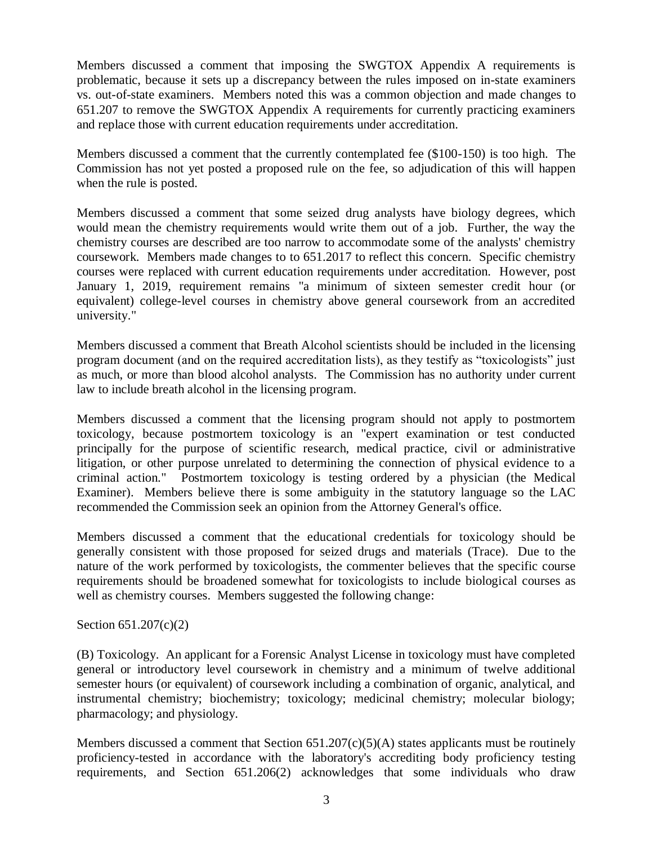Members discussed a comment that imposing the SWGTOX Appendix A requirements is problematic, because it sets up a discrepancy between the rules imposed on in-state examiners vs. out-of-state examiners. Members noted this was a common objection and made changes to 651.207 to remove the SWGTOX Appendix A requirements for currently practicing examiners and replace those with current education requirements under accreditation.

Members discussed a comment that the currently contemplated fee (\$100-150) is too high. The Commission has not yet posted a proposed rule on the fee, so adjudication of this will happen when the rule is posted.

Members discussed a comment that some seized drug analysts have biology degrees, which would mean the chemistry requirements would write them out of a job. Further, the way the chemistry courses are described are too narrow to accommodate some of the analysts' chemistry coursework. Members made changes to to 651.2017 to reflect this concern. Specific chemistry courses were replaced with current education requirements under accreditation. However, post January 1, 2019, requirement remains "a minimum of sixteen semester credit hour (or equivalent) college-level courses in chemistry above general coursework from an accredited university."

Members discussed a comment that Breath Alcohol scientists should be included in the licensing program document (and on the required accreditation lists), as they testify as "toxicologists" just as much, or more than blood alcohol analysts. The Commission has no authority under current law to include breath alcohol in the licensing program.

Members discussed a comment that the licensing program should not apply to postmortem toxicology, because postmortem toxicology is an "expert examination or test conducted principally for the purpose of scientific research, medical practice, civil or administrative litigation, or other purpose unrelated to determining the connection of physical evidence to a criminal action." Postmortem toxicology is testing ordered by a physician (the Medical Examiner). Members believe there is some ambiguity in the statutory language so the LAC recommended the Commission seek an opinion from the Attorney General's office.

Members discussed a comment that the educational credentials for toxicology should be generally consistent with those proposed for seized drugs and materials (Trace). Due to the nature of the work performed by toxicologists, the commenter believes that the specific course requirements should be broadened somewhat for toxicologists to include biological courses as well as chemistry courses. Members suggested the following change:

#### Section 651.207(c)(2)

(B) Toxicology. An applicant for a Forensic Analyst License in toxicology must have completed general or introductory level coursework in chemistry and a minimum of twelve additional semester hours (or equivalent) of coursework including a combination of organic, analytical, and instrumental chemistry; biochemistry; toxicology; medicinal chemistry; molecular biology; pharmacology; and physiology.

Members discussed a comment that Section  $651.207(c)(5)(A)$  states applicants must be routinely proficiency-tested in accordance with the laboratory's accrediting body proficiency testing requirements, and Section 651.206(2) acknowledges that some individuals who draw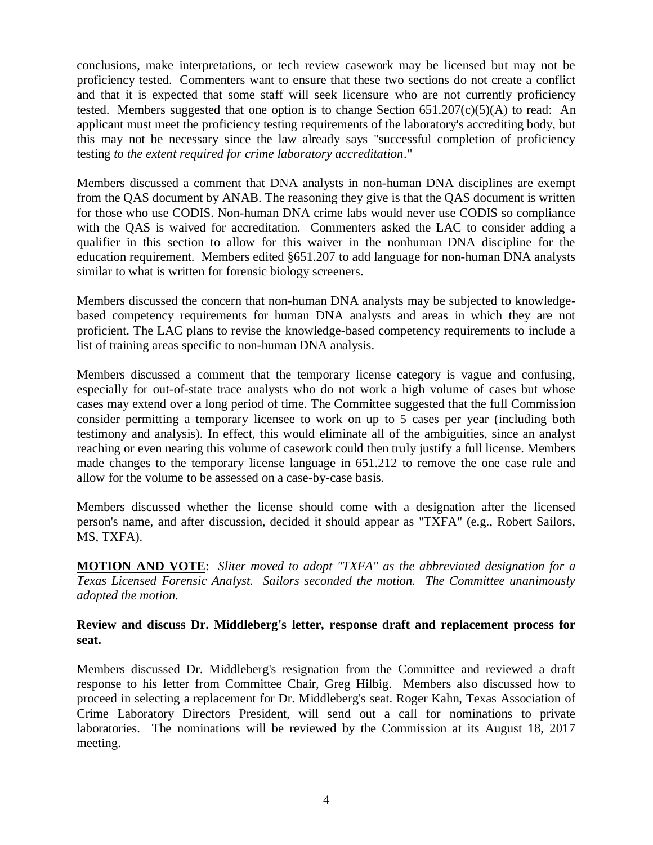conclusions, make interpretations, or tech review casework may be licensed but may not be proficiency tested. Commenters want to ensure that these two sections do not create a conflict and that it is expected that some staff will seek licensure who are not currently proficiency tested. Members suggested that one option is to change Section  $651.207(c)(5)(A)$  to read: An applicant must meet the proficiency testing requirements of the laboratory's accrediting body, but this may not be necessary since the law already says "successful completion of proficiency testing *to the extent required for crime laboratory accreditation*."

Members discussed a comment that DNA analysts in non-human DNA disciplines are exempt from the QAS document by ANAB. The reasoning they give is that the QAS document is written for those who use CODIS. Non-human DNA crime labs would never use CODIS so compliance with the QAS is waived for accreditation. Commenters asked the LAC to consider adding a qualifier in this section to allow for this waiver in the nonhuman DNA discipline for the education requirement. Members edited §651.207 to add language for non-human DNA analysts similar to what is written for forensic biology screeners.

Members discussed the concern that non-human DNA analysts may be subjected to knowledgebased competency requirements for human DNA analysts and areas in which they are not proficient. The LAC plans to revise the knowledge-based competency requirements to include a list of training areas specific to non-human DNA analysis.

Members discussed a comment that the temporary license category is vague and confusing, especially for out-of-state trace analysts who do not work a high volume of cases but whose cases may extend over a long period of time. The Committee suggested that the full Commission consider permitting a temporary licensee to work on up to 5 cases per year (including both testimony and analysis). In effect, this would eliminate all of the ambiguities, since an analyst reaching or even nearing this volume of casework could then truly justify a full license. Members made changes to the temporary license language in 651.212 to remove the one case rule and allow for the volume to be assessed on a case-by-case basis.

Members discussed whether the license should come with a designation after the licensed person's name, and after discussion, decided it should appear as "TXFA" (e.g., Robert Sailors, MS, TXFA).

**MOTION AND VOTE**: *Sliter moved to adopt "TXFA" as the abbreviated designation for a Texas Licensed Forensic Analyst. Sailors seconded the motion. The Committee unanimously adopted the motion.* 

## **Review and discuss Dr. Middleberg's letter, response draft and replacement process for seat.**

Members discussed Dr. Middleberg's resignation from the Committee and reviewed a draft response to his letter from Committee Chair, Greg Hilbig. Members also discussed how to proceed in selecting a replacement for Dr. Middleberg's seat. Roger Kahn, Texas Association of Crime Laboratory Directors President, will send out a call for nominations to private laboratories. The nominations will be reviewed by the Commission at its August 18, 2017 meeting.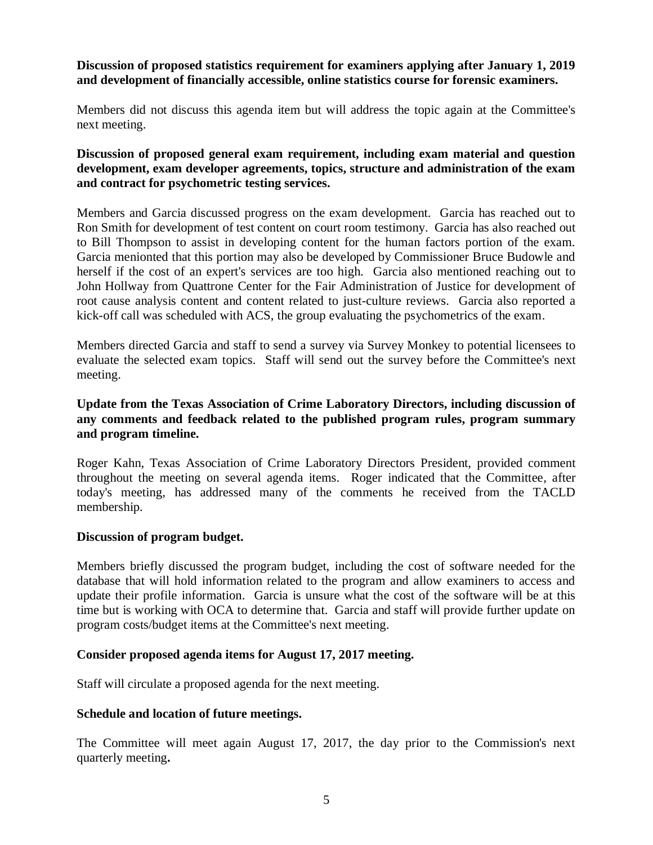## **Discussion of proposed statistics requirement for examiners applying after January 1, 2019 and development of financially accessible, online statistics course for forensic examiners.**

Members did not discuss this agenda item but will address the topic again at the Committee's next meeting.

## **Discussion of proposed general exam requirement, including exam material and question development, exam developer agreements, topics, structure and administration of the exam and contract for psychometric testing services.**

Members and Garcia discussed progress on the exam development. Garcia has reached out to Ron Smith for development of test content on court room testimony. Garcia has also reached out to Bill Thompson to assist in developing content for the human factors portion of the exam. Garcia menionted that this portion may also be developed by Commissioner Bruce Budowle and herself if the cost of an expert's services are too high. Garcia also mentioned reaching out to John Hollway from Quattrone Center for the Fair Administration of Justice for development of root cause analysis content and content related to just-culture reviews. Garcia also reported a kick-off call was scheduled with ACS, the group evaluating the psychometrics of the exam.

Members directed Garcia and staff to send a survey via Survey Monkey to potential licensees to evaluate the selected exam topics. Staff will send out the survey before the Committee's next meeting.

## **Update from the Texas Association of Crime Laboratory Directors, including discussion of any comments and feedback related to the published program rules, program summary and program timeline.**

Roger Kahn, Texas Association of Crime Laboratory Directors President, provided comment throughout the meeting on several agenda items. Roger indicated that the Committee, after today's meeting, has addressed many of the comments he received from the TACLD membership.

## **Discussion of program budget.**

Members briefly discussed the program budget, including the cost of software needed for the database that will hold information related to the program and allow examiners to access and update their profile information. Garcia is unsure what the cost of the software will be at this time but is working with OCA to determine that. Garcia and staff will provide further update on program costs/budget items at the Committee's next meeting.

#### **Consider proposed agenda items for August 17, 2017 meeting.**

Staff will circulate a proposed agenda for the next meeting.

#### **Schedule and location of future meetings.**

The Committee will meet again August 17, 2017, the day prior to the Commission's next quarterly meeting**.**